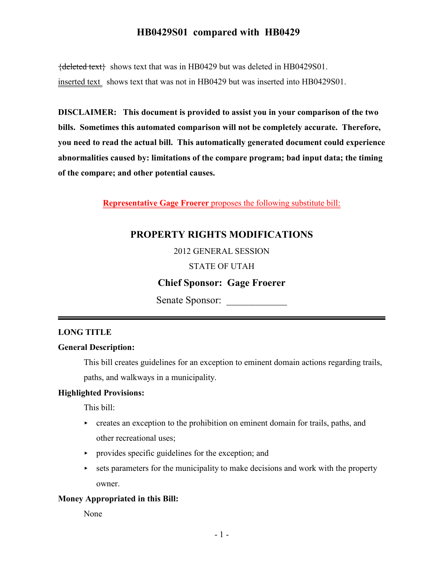## **HB0429S01 compared with HB0429**

 ${deleted text}$  shows text that was in HB0429 but was deleted in HB0429S01. inserted text shows text that was not in HB0429 but was inserted into HB0429S01.

**DISCLAIMER: This document is provided to assist you in your comparison of the two bills. Sometimes this automated comparison will not be completely accurate. Therefore, you need to read the actual bill. This automatically generated document could experience abnormalities caused by: limitations of the compare program; bad input data; the timing of the compare; and other potential causes.**

**Representative Gage Froerer** proposes the following substitute bill:

## **PROPERTY RIGHTS MODIFICATIONS**

2012 GENERAL SESSION

#### STATE OF UTAH

### **Chief Sponsor: Gage Froerer**

Senate Sponsor: \_\_\_\_\_\_\_\_\_\_\_\_

#### **LONG TITLE**

#### **General Description:**

This bill creates guidelines for an exception to eminent domain actions regarding trails, paths, and walkways in a municipality.

#### **Highlighted Provisions:**

This bill:

- $\triangleright$  creates an exception to the prohibition on eminent domain for trails, paths, and other recreational uses;
- $\rightarrow$  provides specific guidelines for the exception; and
- $\triangleright$  sets parameters for the municipality to make decisions and work with the property owner.

#### **Money Appropriated in this Bill:**

None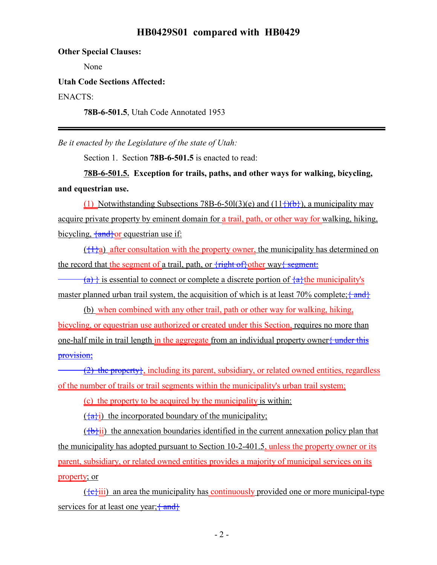### **HB0429S01 compared with HB0429**

**Other Special Clauses:**

None

#### **Utah Code Sections Affected:**

ENACTS:

**78B-6-501.5**, Utah Code Annotated 1953

*Be it enacted by the Legislature of the state of Utah:*

Section 1. Section **78B-6-501.5** is enacted to read:

**78B-6-501.5. Exception for trails, paths, and other ways for walking, bicycling, and equestrian use.**

(1) Notwithstanding Subsections 78B-6-50l(3)(e) and  $(11\frac{1}{1})(b)$ , a municipality may acquire private property by eminent domain for a trail, path, or other way for walking, hiking, bicycling,  $\{and\}$ or equestrian use if:

 $({1}a)$  after consultation with the property owner, the municipality has determined on the record that the segment of a trail, path, or  $\frac{\text{right of}}{\text{right of}}$ other way<del>{ segment:</del>

 $(a)$  is essential to connect or complete a discrete portion of  $\{a\}$ the municipality's master planned urban trail system, the acquisition of which is at least 70% complete;  $\{\text{and}\}$ 

(b) when combined with any other trail, path or other way for walking, hiking, bicycling, or equestrian use authorized or created under this Section, requires no more than one-half mile in trail length in the aggregate from an individual property owner { under this provision;

 $(2)$  the property; including its parent, subsidiary, or related owned entities, regardless of the number of trails or trail segments within the municipality's urban trail system;

(c) the property to be acquired by the municipality is within:

 $\left(\frac{a}{a}\right)$  the incorporated boundary of the municipality;

 $(\{\mathbf{b}\})$  the annexation boundaries identified in the current annexation policy plan that the municipality has adopted pursuant to Section 10-2-401.5, unless the property owner or its parent, subsidiary, or related owned entities provides a majority of municipal services on its property; or

 $({**e**})$ iii) an area the municipality has continuously provided one or more municipal-type services for at least one year;  $\{\text{and}\}$